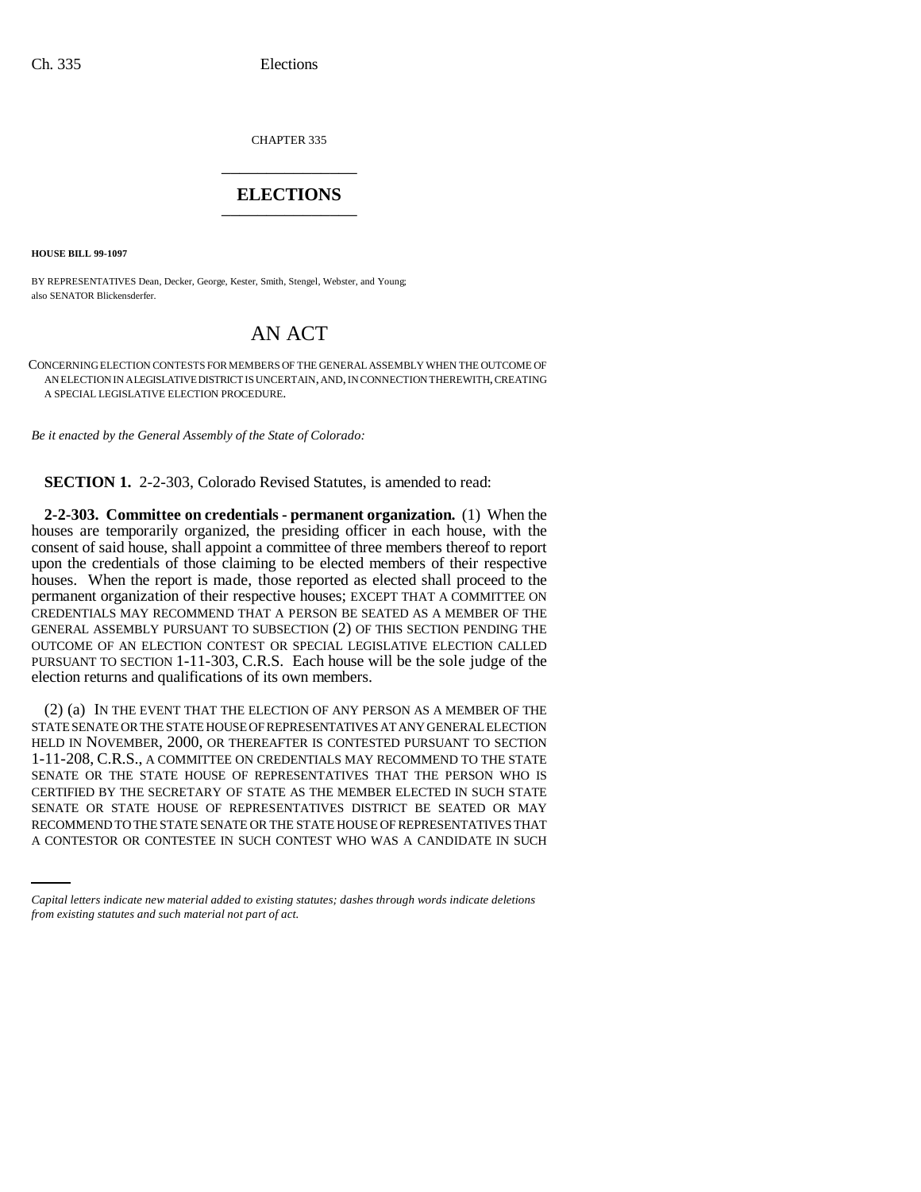CHAPTER 335 \_\_\_\_\_\_\_\_\_\_\_\_\_\_\_

# **ELECTIONS** \_\_\_\_\_\_\_\_\_\_\_\_\_\_\_

**HOUSE BILL 99-1097** 

BY REPRESENTATIVES Dean, Decker, George, Kester, Smith, Stengel, Webster, and Young; also SENATOR Blickensderfer.

# AN ACT

CONCERNING ELECTION CONTESTS FOR MEMBERS OF THE GENERAL ASSEMBLY WHEN THE OUTCOME OF AN ELECTION IN A LEGISLATIVE DISTRICT IS UNCERTAIN, AND, IN CONNECTION THEREWITH, CREATING A SPECIAL LEGISLATIVE ELECTION PROCEDURE.

*Be it enacted by the General Assembly of the State of Colorado:*

**SECTION 1.** 2-2-303, Colorado Revised Statutes, is amended to read:

**2-2-303. Committee on credentials - permanent organization.** (1) When the houses are temporarily organized, the presiding officer in each house, with the consent of said house, shall appoint a committee of three members thereof to report upon the credentials of those claiming to be elected members of their respective houses. When the report is made, those reported as elected shall proceed to the permanent organization of their respective houses; EXCEPT THAT A COMMITTEE ON CREDENTIALS MAY RECOMMEND THAT A PERSON BE SEATED AS A MEMBER OF THE GENERAL ASSEMBLY PURSUANT TO SUBSECTION (2) OF THIS SECTION PENDING THE OUTCOME OF AN ELECTION CONTEST OR SPECIAL LEGISLATIVE ELECTION CALLED PURSUANT TO SECTION 1-11-303, C.R.S. Each house will be the sole judge of the election returns and qualifications of its own members.

SENATE OR STATE HOUSE OF REPRESENTATIVES DISTRICT BE SEATED OR MAY (2) (a) IN THE EVENT THAT THE ELECTION OF ANY PERSON AS A MEMBER OF THE STATE SENATE OR THE STATE HOUSE OF REPRESENTATIVES AT ANY GENERAL ELECTION HELD IN NOVEMBER, 2000, OR THEREAFTER IS CONTESTED PURSUANT TO SECTION 1-11-208, C.R.S., A COMMITTEE ON CREDENTIALS MAY RECOMMEND TO THE STATE SENATE OR THE STATE HOUSE OF REPRESENTATIVES THAT THE PERSON WHO IS CERTIFIED BY THE SECRETARY OF STATE AS THE MEMBER ELECTED IN SUCH STATE RECOMMEND TO THE STATE SENATE OR THE STATE HOUSE OF REPRESENTATIVES THAT A CONTESTOR OR CONTESTEE IN SUCH CONTEST WHO WAS A CANDIDATE IN SUCH

*Capital letters indicate new material added to existing statutes; dashes through words indicate deletions from existing statutes and such material not part of act.*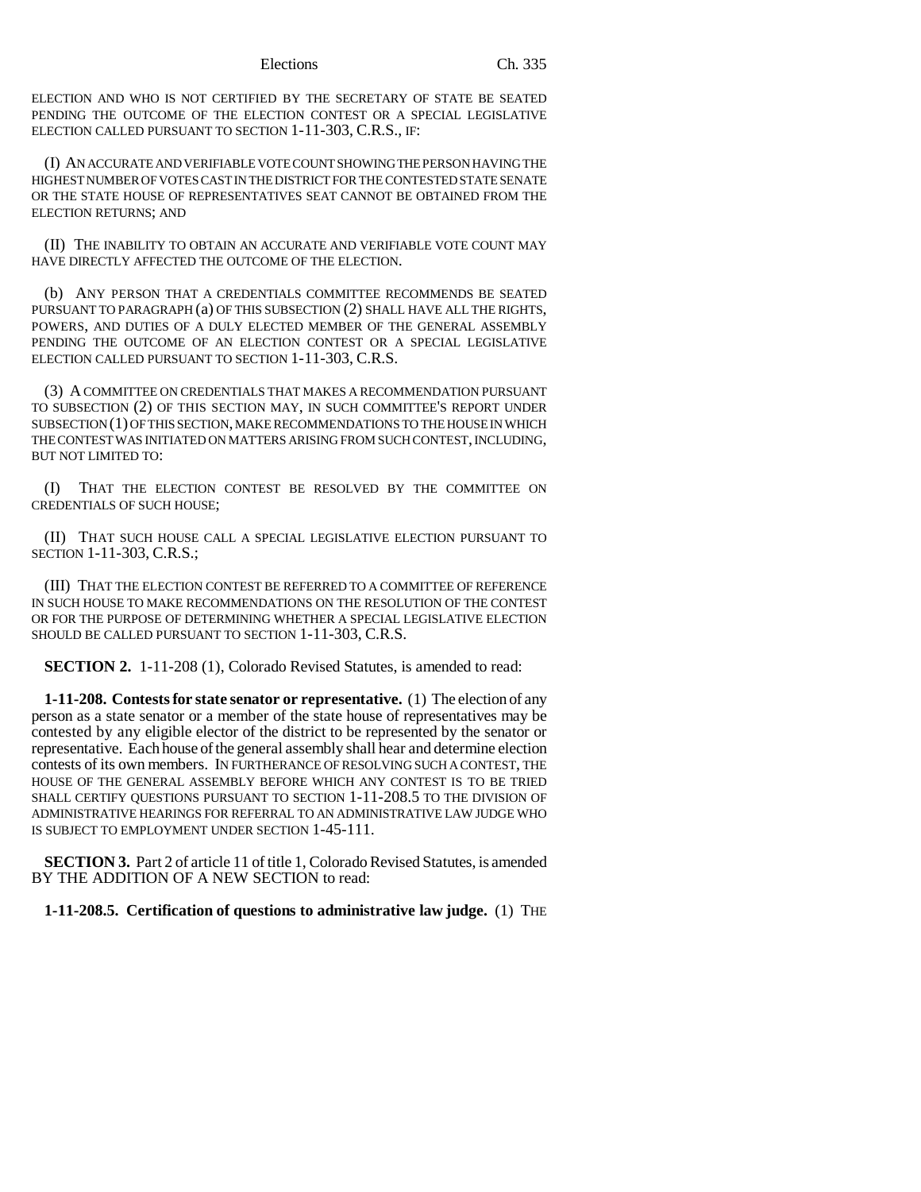ELECTION AND WHO IS NOT CERTIFIED BY THE SECRETARY OF STATE BE SEATED PENDING THE OUTCOME OF THE ELECTION CONTEST OR A SPECIAL LEGISLATIVE ELECTION CALLED PURSUANT TO SECTION 1-11-303, C.R.S., IF:

(I) AN ACCURATE AND VERIFIABLE VOTE COUNT SHOWING THE PERSON HAVING THE HIGHEST NUMBER OF VOTES CAST IN THE DISTRICT FOR THE CONTESTED STATE SENATE OR THE STATE HOUSE OF REPRESENTATIVES SEAT CANNOT BE OBTAINED FROM THE ELECTION RETURNS; AND

(II) THE INABILITY TO OBTAIN AN ACCURATE AND VERIFIABLE VOTE COUNT MAY HAVE DIRECTLY AFFECTED THE OUTCOME OF THE ELECTION.

(b) ANY PERSON THAT A CREDENTIALS COMMITTEE RECOMMENDS BE SEATED PURSUANT TO PARAGRAPH (a) OF THIS SUBSECTION (2) SHALL HAVE ALL THE RIGHTS, POWERS, AND DUTIES OF A DULY ELECTED MEMBER OF THE GENERAL ASSEMBLY PENDING THE OUTCOME OF AN ELECTION CONTEST OR A SPECIAL LEGISLATIVE ELECTION CALLED PURSUANT TO SECTION 1-11-303, C.R.S.

(3) A COMMITTEE ON CREDENTIALS THAT MAKES A RECOMMENDATION PURSUANT TO SUBSECTION (2) OF THIS SECTION MAY, IN SUCH COMMITTEE'S REPORT UNDER SUBSECTION (1) OF THIS SECTION, MAKE RECOMMENDATIONS TO THE HOUSE IN WHICH THE CONTEST WAS INITIATED ON MATTERS ARISING FROM SUCH CONTEST, INCLUDING, BUT NOT LIMITED TO:

(I) THAT THE ELECTION CONTEST BE RESOLVED BY THE COMMITTEE ON CREDENTIALS OF SUCH HOUSE;

(II) THAT SUCH HOUSE CALL A SPECIAL LEGISLATIVE ELECTION PURSUANT TO SECTION 1-11-303, C.R.S.;

(III) THAT THE ELECTION CONTEST BE REFERRED TO A COMMITTEE OF REFERENCE IN SUCH HOUSE TO MAKE RECOMMENDATIONS ON THE RESOLUTION OF THE CONTEST OR FOR THE PURPOSE OF DETERMINING WHETHER A SPECIAL LEGISLATIVE ELECTION SHOULD BE CALLED PURSUANT TO SECTION 1-11-303, C.R.S.

**SECTION 2.** 1-11-208 (1), Colorado Revised Statutes, is amended to read:

**1-11-208. Contests for state senator or representative.** (1) The election of any person as a state senator or a member of the state house of representatives may be contested by any eligible elector of the district to be represented by the senator or representative. Each house of the general assembly shall hear and determine election contests of its own members. IN FURTHERANCE OF RESOLVING SUCH A CONTEST, THE HOUSE OF THE GENERAL ASSEMBLY BEFORE WHICH ANY CONTEST IS TO BE TRIED SHALL CERTIFY QUESTIONS PURSUANT TO SECTION 1-11-208.5 TO THE DIVISION OF ADMINISTRATIVE HEARINGS FOR REFERRAL TO AN ADMINISTRATIVE LAW JUDGE WHO IS SUBJECT TO EMPLOYMENT UNDER SECTION 1-45-111.

**SECTION 3.** Part 2 of article 11 of title 1, Colorado Revised Statutes, is amended BY THE ADDITION OF A NEW SECTION to read:

**1-11-208.5. Certification of questions to administrative law judge.** (1) THE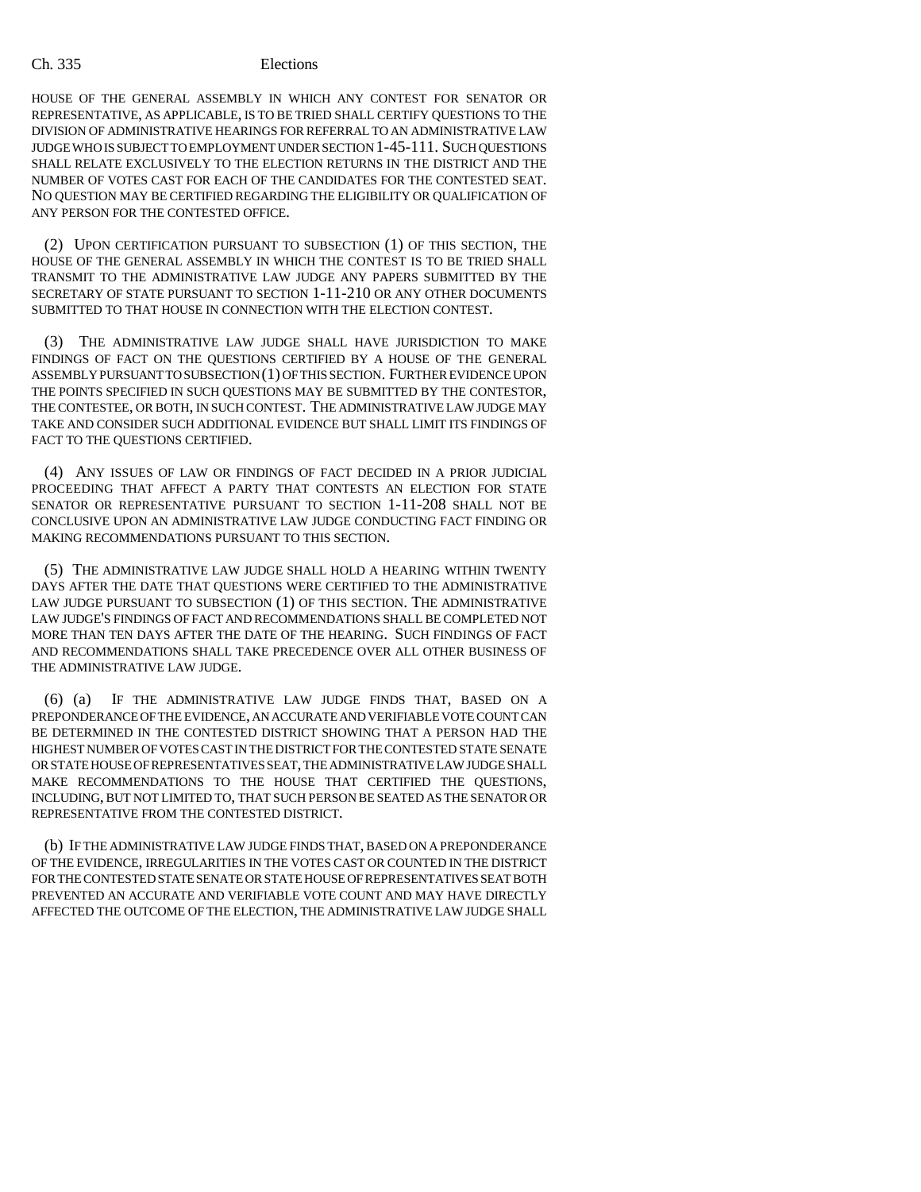HOUSE OF THE GENERAL ASSEMBLY IN WHICH ANY CONTEST FOR SENATOR OR REPRESENTATIVE, AS APPLICABLE, IS TO BE TRIED SHALL CERTIFY QUESTIONS TO THE DIVISION OF ADMINISTRATIVE HEARINGS FOR REFERRAL TO AN ADMINISTRATIVE LAW JUDGE WHO IS SUBJECT TO EMPLOYMENT UNDER SECTION 1-45-111. SUCH QUESTIONS SHALL RELATE EXCLUSIVELY TO THE ELECTION RETURNS IN THE DISTRICT AND THE NUMBER OF VOTES CAST FOR EACH OF THE CANDIDATES FOR THE CONTESTED SEAT. NO QUESTION MAY BE CERTIFIED REGARDING THE ELIGIBILITY OR QUALIFICATION OF ANY PERSON FOR THE CONTESTED OFFICE.

(2) UPON CERTIFICATION PURSUANT TO SUBSECTION (1) OF THIS SECTION, THE HOUSE OF THE GENERAL ASSEMBLY IN WHICH THE CONTEST IS TO BE TRIED SHALL TRANSMIT TO THE ADMINISTRATIVE LAW JUDGE ANY PAPERS SUBMITTED BY THE SECRETARY OF STATE PURSUANT TO SECTION 1-11-210 OR ANY OTHER DOCUMENTS SUBMITTED TO THAT HOUSE IN CONNECTION WITH THE ELECTION CONTEST.

(3) THE ADMINISTRATIVE LAW JUDGE SHALL HAVE JURISDICTION TO MAKE FINDINGS OF FACT ON THE QUESTIONS CERTIFIED BY A HOUSE OF THE GENERAL ASSEMBLY PURSUANT TO SUBSECTION (1) OF THIS SECTION. FURTHER EVIDENCE UPON THE POINTS SPECIFIED IN SUCH QUESTIONS MAY BE SUBMITTED BY THE CONTESTOR, THE CONTESTEE, OR BOTH, IN SUCH CONTEST. THE ADMINISTRATIVE LAW JUDGE MAY TAKE AND CONSIDER SUCH ADDITIONAL EVIDENCE BUT SHALL LIMIT ITS FINDINGS OF FACT TO THE QUESTIONS CERTIFIED.

(4) ANY ISSUES OF LAW OR FINDINGS OF FACT DECIDED IN A PRIOR JUDICIAL PROCEEDING THAT AFFECT A PARTY THAT CONTESTS AN ELECTION FOR STATE SENATOR OR REPRESENTATIVE PURSUANT TO SECTION 1-11-208 SHALL NOT BE CONCLUSIVE UPON AN ADMINISTRATIVE LAW JUDGE CONDUCTING FACT FINDING OR MAKING RECOMMENDATIONS PURSUANT TO THIS SECTION.

(5) THE ADMINISTRATIVE LAW JUDGE SHALL HOLD A HEARING WITHIN TWENTY DAYS AFTER THE DATE THAT QUESTIONS WERE CERTIFIED TO THE ADMINISTRATIVE LAW JUDGE PURSUANT TO SUBSECTION (1) OF THIS SECTION. THE ADMINISTRATIVE LAW JUDGE'S FINDINGS OF FACT AND RECOMMENDATIONS SHALL BE COMPLETED NOT MORE THAN TEN DAYS AFTER THE DATE OF THE HEARING. SUCH FINDINGS OF FACT AND RECOMMENDATIONS SHALL TAKE PRECEDENCE OVER ALL OTHER BUSINESS OF THE ADMINISTRATIVE LAW JUDGE.

(6) (a) IF THE ADMINISTRATIVE LAW JUDGE FINDS THAT, BASED ON A PREPONDERANCE OF THE EVIDENCE, AN ACCURATE AND VERIFIABLE VOTE COUNT CAN BE DETERMINED IN THE CONTESTED DISTRICT SHOWING THAT A PERSON HAD THE HIGHEST NUMBER OF VOTES CAST IN THE DISTRICT FOR THE CONTESTED STATE SENATE OR STATE HOUSE OF REPRESENTATIVES SEAT, THE ADMINISTRATIVE LAW JUDGE SHALL MAKE RECOMMENDATIONS TO THE HOUSE THAT CERTIFIED THE QUESTIONS, INCLUDING, BUT NOT LIMITED TO, THAT SUCH PERSON BE SEATED AS THE SENATOR OR REPRESENTATIVE FROM THE CONTESTED DISTRICT.

(b) IF THE ADMINISTRATIVE LAW JUDGE FINDS THAT, BASED ON A PREPONDERANCE OF THE EVIDENCE, IRREGULARITIES IN THE VOTES CAST OR COUNTED IN THE DISTRICT FOR THE CONTESTED STATE SENATE OR STATE HOUSE OF REPRESENTATIVES SEAT BOTH PREVENTED AN ACCURATE AND VERIFIABLE VOTE COUNT AND MAY HAVE DIRECTLY AFFECTED THE OUTCOME OF THE ELECTION, THE ADMINISTRATIVE LAW JUDGE SHALL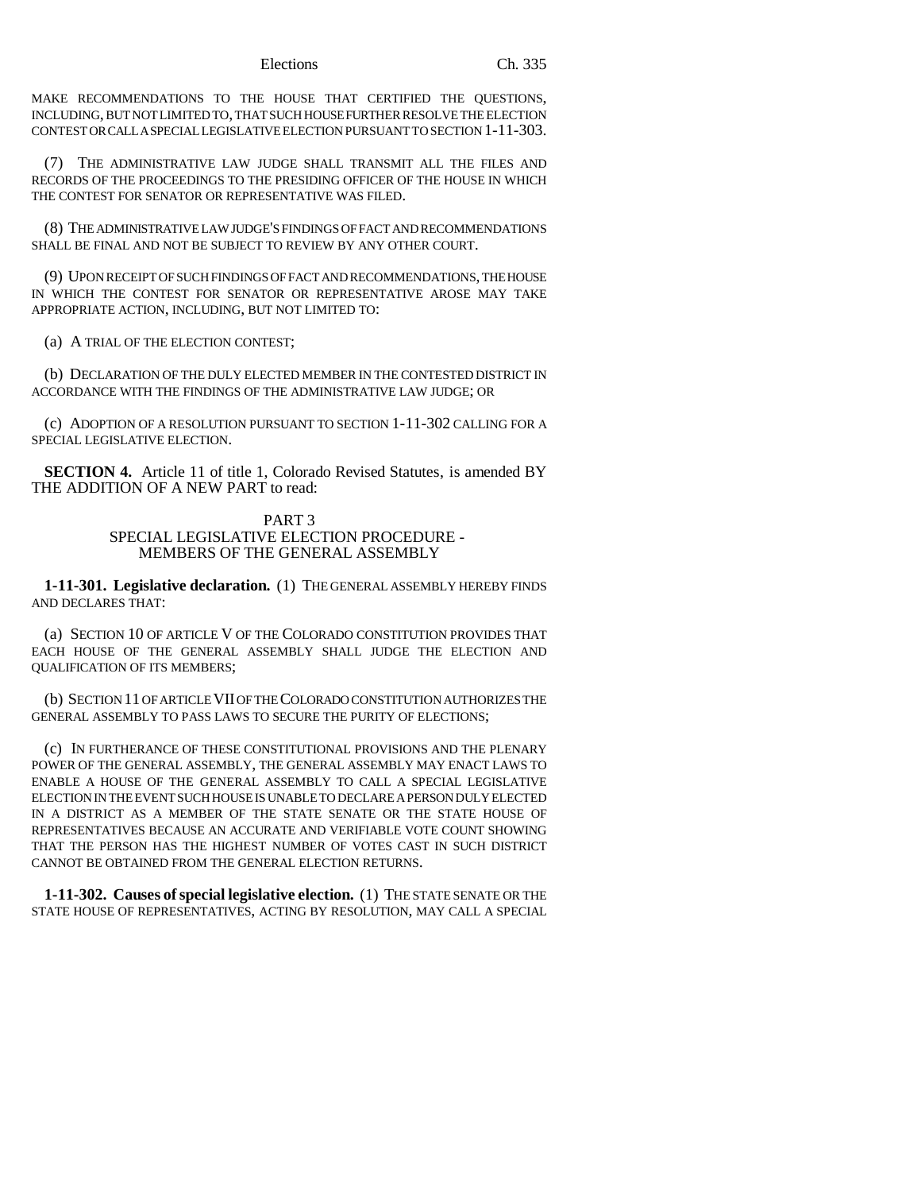MAKE RECOMMENDATIONS TO THE HOUSE THAT CERTIFIED THE QUESTIONS, INCLUDING, BUT NOT LIMITED TO, THAT SUCH HOUSE FURTHER RESOLVE THE ELECTION CONTEST OR CALL A SPECIAL LEGISLATIVE ELECTION PURSUANT TO SECTION 1-11-303.

(7) THE ADMINISTRATIVE LAW JUDGE SHALL TRANSMIT ALL THE FILES AND RECORDS OF THE PROCEEDINGS TO THE PRESIDING OFFICER OF THE HOUSE IN WHICH THE CONTEST FOR SENATOR OR REPRESENTATIVE WAS FILED.

(8) THE ADMINISTRATIVE LAW JUDGE'S FINDINGS OF FACT AND RECOMMENDATIONS SHALL BE FINAL AND NOT BE SUBJECT TO REVIEW BY ANY OTHER COURT.

(9) UPON RECEIPT OF SUCH FINDINGS OF FACT AND RECOMMENDATIONS, THE HOUSE IN WHICH THE CONTEST FOR SENATOR OR REPRESENTATIVE AROSE MAY TAKE APPROPRIATE ACTION, INCLUDING, BUT NOT LIMITED TO:

(a) A TRIAL OF THE ELECTION CONTEST;

(b) DECLARATION OF THE DULY ELECTED MEMBER IN THE CONTESTED DISTRICT IN ACCORDANCE WITH THE FINDINGS OF THE ADMINISTRATIVE LAW JUDGE; OR

(c) ADOPTION OF A RESOLUTION PURSUANT TO SECTION 1-11-302 CALLING FOR A SPECIAL LEGISLATIVE ELECTION.

**SECTION 4.** Article 11 of title 1, Colorado Revised Statutes, is amended BY THE ADDITION OF A NEW PART to read:

# PART 3 SPECIAL LEGISLATIVE ELECTION PROCEDURE - MEMBERS OF THE GENERAL ASSEMBLY

**1-11-301. Legislative declaration.** (1) THE GENERAL ASSEMBLY HEREBY FINDS AND DECLARES THAT:

(a) SECTION 10 OF ARTICLE V OF THE COLORADO CONSTITUTION PROVIDES THAT EACH HOUSE OF THE GENERAL ASSEMBLY SHALL JUDGE THE ELECTION AND QUALIFICATION OF ITS MEMBERS;

(b) SECTION 11 OF ARTICLE VII OF THE COLORADO CONSTITUTION AUTHORIZES THE GENERAL ASSEMBLY TO PASS LAWS TO SECURE THE PURITY OF ELECTIONS;

(c) IN FURTHERANCE OF THESE CONSTITUTIONAL PROVISIONS AND THE PLENARY POWER OF THE GENERAL ASSEMBLY, THE GENERAL ASSEMBLY MAY ENACT LAWS TO ENABLE A HOUSE OF THE GENERAL ASSEMBLY TO CALL A SPECIAL LEGISLATIVE ELECTION IN THE EVENT SUCH HOUSE IS UNABLE TO DECLARE A PERSON DULY ELECTED IN A DISTRICT AS A MEMBER OF THE STATE SENATE OR THE STATE HOUSE OF REPRESENTATIVES BECAUSE AN ACCURATE AND VERIFIABLE VOTE COUNT SHOWING THAT THE PERSON HAS THE HIGHEST NUMBER OF VOTES CAST IN SUCH DISTRICT CANNOT BE OBTAINED FROM THE GENERAL ELECTION RETURNS.

**1-11-302. Causes of special legislative election.** (1) THE STATE SENATE OR THE STATE HOUSE OF REPRESENTATIVES, ACTING BY RESOLUTION, MAY CALL A SPECIAL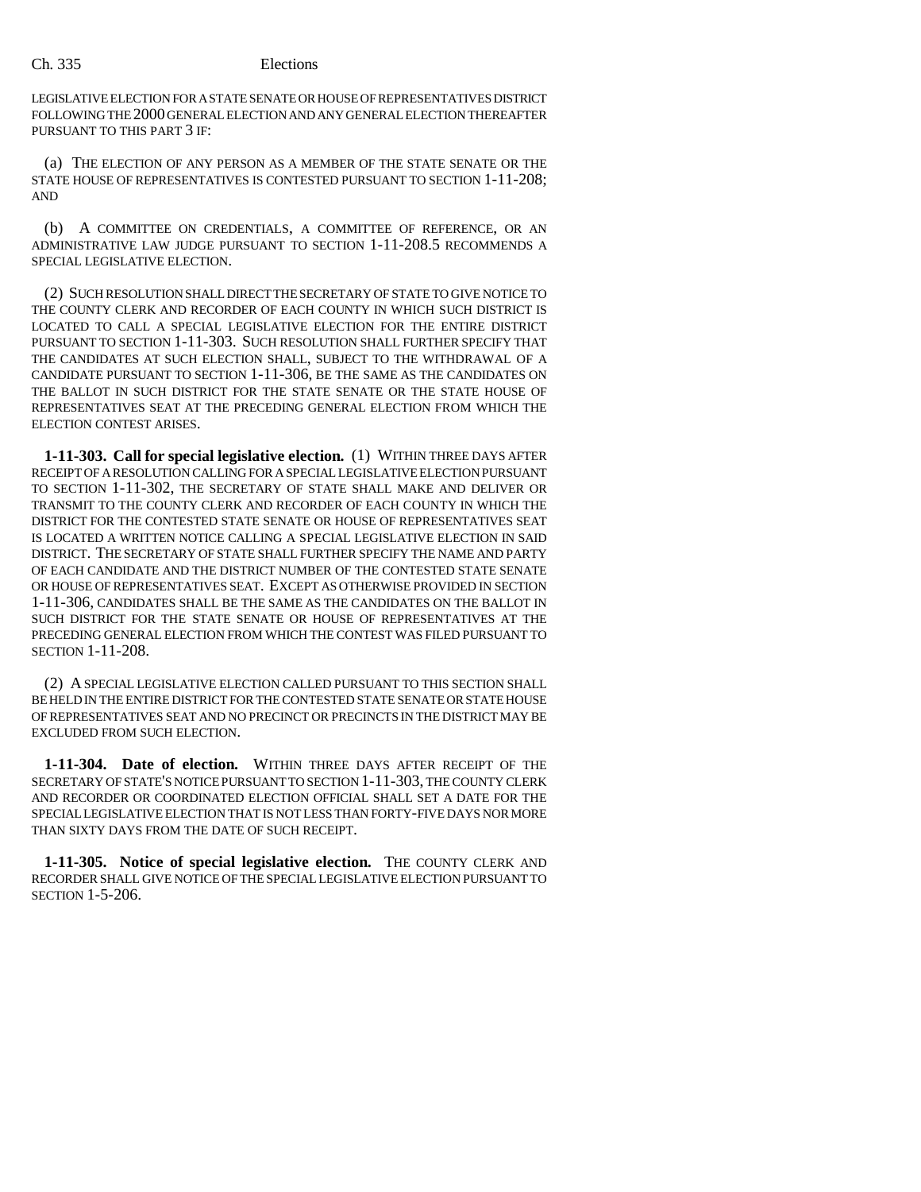LEGISLATIVE ELECTION FOR A STATE SENATE OR HOUSE OF REPRESENTATIVES DISTRICT FOLLOWING THE 2000 GENERAL ELECTION AND ANY GENERAL ELECTION THEREAFTER PURSUANT TO THIS PART 3 IF:

(a) THE ELECTION OF ANY PERSON AS A MEMBER OF THE STATE SENATE OR THE STATE HOUSE OF REPRESENTATIVES IS CONTESTED PURSUANT TO SECTION 1-11-208; AND

(b) A COMMITTEE ON CREDENTIALS, A COMMITTEE OF REFERENCE, OR AN ADMINISTRATIVE LAW JUDGE PURSUANT TO SECTION 1-11-208.5 RECOMMENDS A SPECIAL LEGISLATIVE ELECTION.

(2) SUCH RESOLUTION SHALL DIRECT THE SECRETARY OF STATE TO GIVE NOTICE TO THE COUNTY CLERK AND RECORDER OF EACH COUNTY IN WHICH SUCH DISTRICT IS LOCATED TO CALL A SPECIAL LEGISLATIVE ELECTION FOR THE ENTIRE DISTRICT PURSUANT TO SECTION 1-11-303. SUCH RESOLUTION SHALL FURTHER SPECIFY THAT THE CANDIDATES AT SUCH ELECTION SHALL, SUBJECT TO THE WITHDRAWAL OF A CANDIDATE PURSUANT TO SECTION 1-11-306, BE THE SAME AS THE CANDIDATES ON THE BALLOT IN SUCH DISTRICT FOR THE STATE SENATE OR THE STATE HOUSE OF REPRESENTATIVES SEAT AT THE PRECEDING GENERAL ELECTION FROM WHICH THE ELECTION CONTEST ARISES.

**1-11-303. Call for special legislative election.** (1) WITHIN THREE DAYS AFTER RECEIPT OF A RESOLUTION CALLING FOR A SPECIAL LEGISLATIVE ELECTION PURSUANT TO SECTION 1-11-302, THE SECRETARY OF STATE SHALL MAKE AND DELIVER OR TRANSMIT TO THE COUNTY CLERK AND RECORDER OF EACH COUNTY IN WHICH THE DISTRICT FOR THE CONTESTED STATE SENATE OR HOUSE OF REPRESENTATIVES SEAT IS LOCATED A WRITTEN NOTICE CALLING A SPECIAL LEGISLATIVE ELECTION IN SAID DISTRICT. THE SECRETARY OF STATE SHALL FURTHER SPECIFY THE NAME AND PARTY OF EACH CANDIDATE AND THE DISTRICT NUMBER OF THE CONTESTED STATE SENATE OR HOUSE OF REPRESENTATIVES SEAT. EXCEPT AS OTHERWISE PROVIDED IN SECTION 1-11-306, CANDIDATES SHALL BE THE SAME AS THE CANDIDATES ON THE BALLOT IN SUCH DISTRICT FOR THE STATE SENATE OR HOUSE OF REPRESENTATIVES AT THE PRECEDING GENERAL ELECTION FROM WHICH THE CONTEST WAS FILED PURSUANT TO SECTION 1-11-208.

(2) A SPECIAL LEGISLATIVE ELECTION CALLED PURSUANT TO THIS SECTION SHALL BE HELD IN THE ENTIRE DISTRICT FOR THE CONTESTED STATE SENATE OR STATE HOUSE OF REPRESENTATIVES SEAT AND NO PRECINCT OR PRECINCTS IN THE DISTRICT MAY BE EXCLUDED FROM SUCH ELECTION.

**1-11-304. Date of election.** WITHIN THREE DAYS AFTER RECEIPT OF THE SECRETARY OF STATE'S NOTICE PURSUANT TO SECTION 1-11-303, THE COUNTY CLERK AND RECORDER OR COORDINATED ELECTION OFFICIAL SHALL SET A DATE FOR THE SPECIAL LEGISLATIVE ELECTION THAT IS NOT LESS THAN FORTY-FIVE DAYS NOR MORE THAN SIXTY DAYS FROM THE DATE OF SUCH RECEIPT.

**1-11-305. Notice of special legislative election.** THE COUNTY CLERK AND RECORDER SHALL GIVE NOTICE OF THE SPECIAL LEGISLATIVE ELECTION PURSUANT TO SECTION 1-5-206.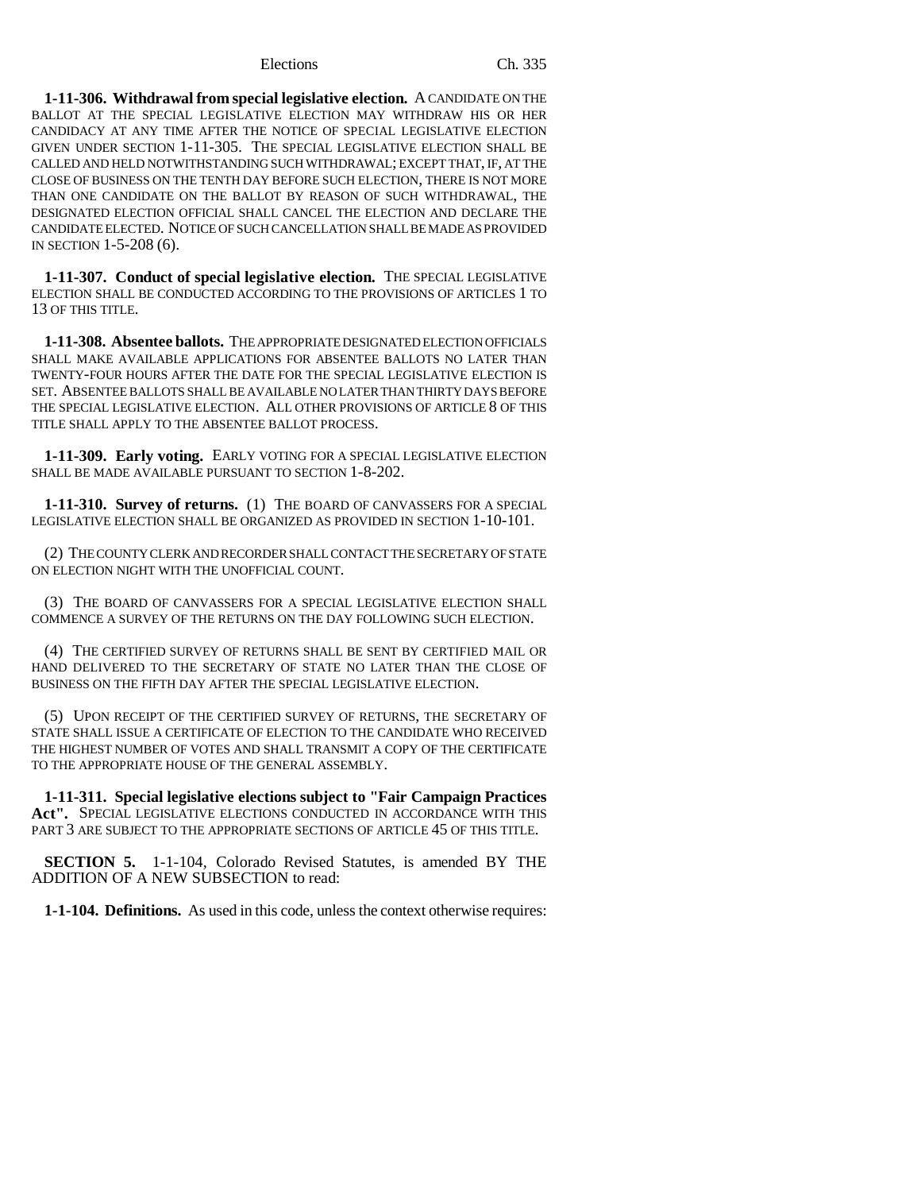**1-11-306. Withdrawal from special legislative election.** A CANDIDATE ON THE BALLOT AT THE SPECIAL LEGISLATIVE ELECTION MAY WITHDRAW HIS OR HER CANDIDACY AT ANY TIME AFTER THE NOTICE OF SPECIAL LEGISLATIVE ELECTION GIVEN UNDER SECTION 1-11-305. THE SPECIAL LEGISLATIVE ELECTION SHALL BE CALLED AND HELD NOTWITHSTANDING SUCH WITHDRAWAL; EXCEPT THAT, IF, AT THE CLOSE OF BUSINESS ON THE TENTH DAY BEFORE SUCH ELECTION, THERE IS NOT MORE THAN ONE CANDIDATE ON THE BALLOT BY REASON OF SUCH WITHDRAWAL, THE DESIGNATED ELECTION OFFICIAL SHALL CANCEL THE ELECTION AND DECLARE THE CANDIDATE ELECTED. NOTICE OF SUCH CANCELLATION SHALL BE MADE AS PROVIDED IN SECTION 1-5-208 (6).

**1-11-307. Conduct of special legislative election.** THE SPECIAL LEGISLATIVE ELECTION SHALL BE CONDUCTED ACCORDING TO THE PROVISIONS OF ARTICLES 1 TO 13 OF THIS TITLE.

**1-11-308. Absentee ballots.** THE APPROPRIATE DESIGNATED ELECTION OFFICIALS SHALL MAKE AVAILABLE APPLICATIONS FOR ABSENTEE BALLOTS NO LATER THAN TWENTY-FOUR HOURS AFTER THE DATE FOR THE SPECIAL LEGISLATIVE ELECTION IS SET. ABSENTEE BALLOTS SHALL BE AVAILABLE NO LATER THAN THIRTY DAYS BEFORE THE SPECIAL LEGISLATIVE ELECTION. ALL OTHER PROVISIONS OF ARTICLE 8 OF THIS TITLE SHALL APPLY TO THE ABSENTEE BALLOT PROCESS.

**1-11-309. Early voting.** EARLY VOTING FOR A SPECIAL LEGISLATIVE ELECTION SHALL BE MADE AVAILABLE PURSUANT TO SECTION 1-8-202.

**1-11-310. Survey of returns.** (1) THE BOARD OF CANVASSERS FOR A SPECIAL LEGISLATIVE ELECTION SHALL BE ORGANIZED AS PROVIDED IN SECTION 1-10-101.

(2) THE COUNTY CLERK AND RECORDER SHALL CONTACT THE SECRETARY OF STATE ON ELECTION NIGHT WITH THE UNOFFICIAL COUNT.

(3) THE BOARD OF CANVASSERS FOR A SPECIAL LEGISLATIVE ELECTION SHALL COMMENCE A SURVEY OF THE RETURNS ON THE DAY FOLLOWING SUCH ELECTION.

(4) THE CERTIFIED SURVEY OF RETURNS SHALL BE SENT BY CERTIFIED MAIL OR HAND DELIVERED TO THE SECRETARY OF STATE NO LATER THAN THE CLOSE OF BUSINESS ON THE FIFTH DAY AFTER THE SPECIAL LEGISLATIVE ELECTION.

(5) UPON RECEIPT OF THE CERTIFIED SURVEY OF RETURNS, THE SECRETARY OF STATE SHALL ISSUE A CERTIFICATE OF ELECTION TO THE CANDIDATE WHO RECEIVED THE HIGHEST NUMBER OF VOTES AND SHALL TRANSMIT A COPY OF THE CERTIFICATE TO THE APPROPRIATE HOUSE OF THE GENERAL ASSEMBLY.

**1-11-311. Special legislative elections subject to "Fair Campaign Practices Act".** SPECIAL LEGISLATIVE ELECTIONS CONDUCTED IN ACCORDANCE WITH THIS PART 3 ARE SUBJECT TO THE APPROPRIATE SECTIONS OF ARTICLE 45 OF THIS TITLE.

**SECTION 5.** 1-1-104, Colorado Revised Statutes, is amended BY THE ADDITION OF A NEW SUBSECTION to read:

**1-1-104. Definitions.** As used in this code, unless the context otherwise requires: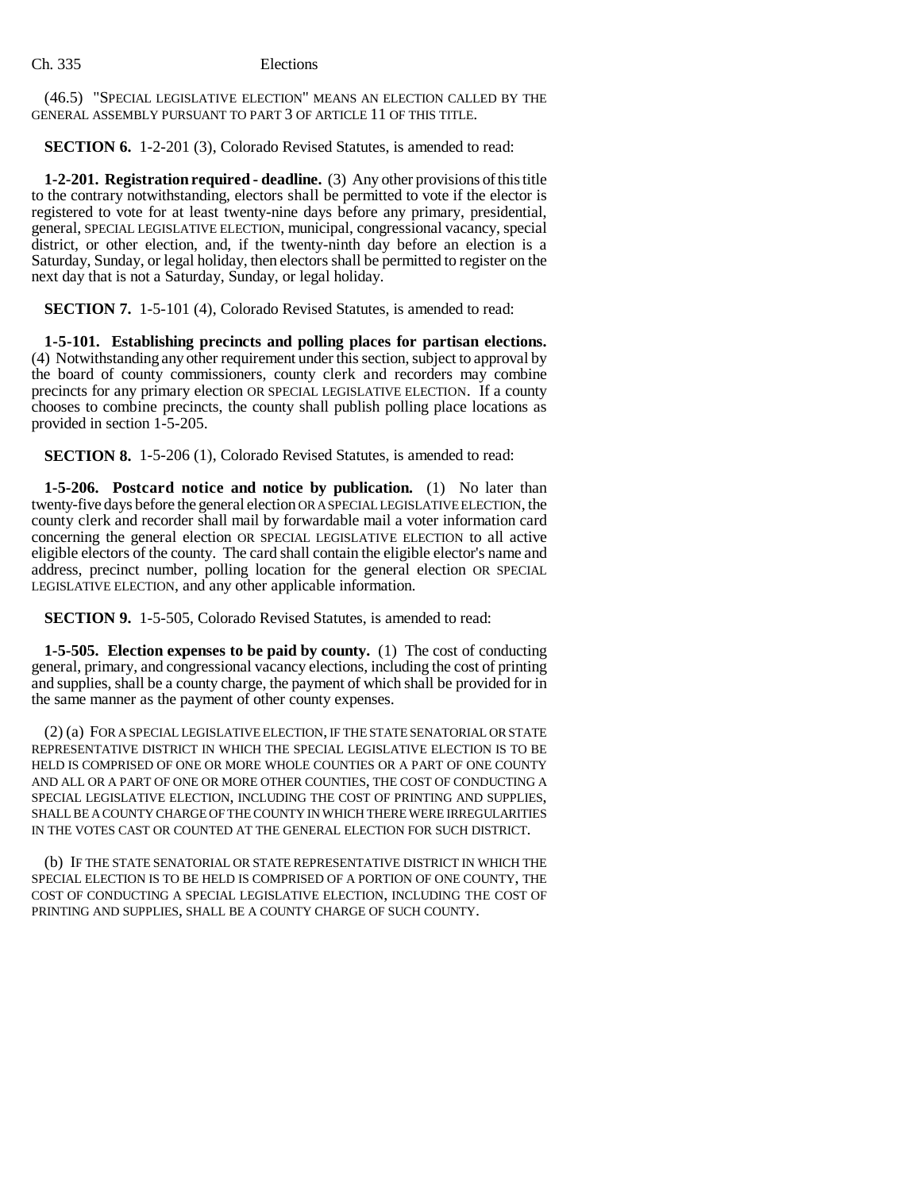(46.5) "SPECIAL LEGISLATIVE ELECTION" MEANS AN ELECTION CALLED BY THE GENERAL ASSEMBLY PURSUANT TO PART 3 OF ARTICLE 11 OF THIS TITLE.

**SECTION 6.** 1-2-201 (3), Colorado Revised Statutes, is amended to read:

**1-2-201. Registration required - deadline.** (3) Any other provisions of this title to the contrary notwithstanding, electors shall be permitted to vote if the elector is registered to vote for at least twenty-nine days before any primary, presidential, general, SPECIAL LEGISLATIVE ELECTION, municipal, congressional vacancy, special district, or other election, and, if the twenty-ninth day before an election is a Saturday, Sunday, or legal holiday, then electors shall be permitted to register on the next day that is not a Saturday, Sunday, or legal holiday.

**SECTION 7.** 1-5-101 (4), Colorado Revised Statutes, is amended to read:

**1-5-101. Establishing precincts and polling places for partisan elections.** (4) Notwithstanding any other requirement under this section, subject to approval by the board of county commissioners, county clerk and recorders may combine precincts for any primary election OR SPECIAL LEGISLATIVE ELECTION. If a county chooses to combine precincts, the county shall publish polling place locations as provided in section 1-5-205.

**SECTION 8.** 1-5-206 (1), Colorado Revised Statutes, is amended to read:

**1-5-206. Postcard notice and notice by publication.** (1) No later than twenty-five days before the general election OR A SPECIAL LEGISLATIVE ELECTION, the county clerk and recorder shall mail by forwardable mail a voter information card concerning the general election OR SPECIAL LEGISLATIVE ELECTION to all active eligible electors of the county. The card shall contain the eligible elector's name and address, precinct number, polling location for the general election OR SPECIAL LEGISLATIVE ELECTION, and any other applicable information.

**SECTION 9.** 1-5-505, Colorado Revised Statutes, is amended to read:

**1-5-505. Election expenses to be paid by county.** (1) The cost of conducting general, primary, and congressional vacancy elections, including the cost of printing and supplies, shall be a county charge, the payment of which shall be provided for in the same manner as the payment of other county expenses.

(2) (a) FOR A SPECIAL LEGISLATIVE ELECTION, IF THE STATE SENATORIAL OR STATE REPRESENTATIVE DISTRICT IN WHICH THE SPECIAL LEGISLATIVE ELECTION IS TO BE HELD IS COMPRISED OF ONE OR MORE WHOLE COUNTIES OR A PART OF ONE COUNTY AND ALL OR A PART OF ONE OR MORE OTHER COUNTIES, THE COST OF CONDUCTING A SPECIAL LEGISLATIVE ELECTION, INCLUDING THE COST OF PRINTING AND SUPPLIES, SHALL BE A COUNTY CHARGE OF THE COUNTY IN WHICH THERE WERE IRREGULARITIES IN THE VOTES CAST OR COUNTED AT THE GENERAL ELECTION FOR SUCH DISTRICT.

(b) IF THE STATE SENATORIAL OR STATE REPRESENTATIVE DISTRICT IN WHICH THE SPECIAL ELECTION IS TO BE HELD IS COMPRISED OF A PORTION OF ONE COUNTY, THE COST OF CONDUCTING A SPECIAL LEGISLATIVE ELECTION, INCLUDING THE COST OF PRINTING AND SUPPLIES, SHALL BE A COUNTY CHARGE OF SUCH COUNTY.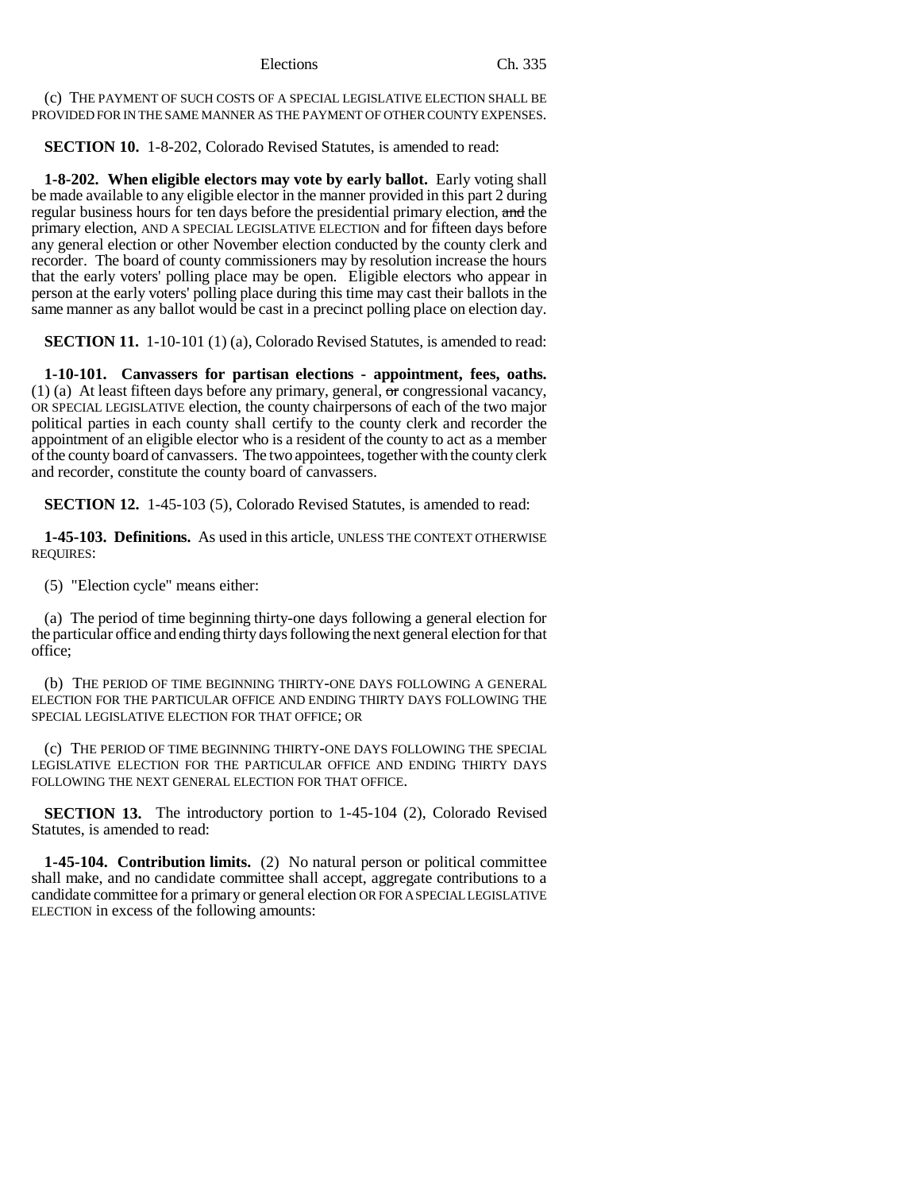(c) THE PAYMENT OF SUCH COSTS OF A SPECIAL LEGISLATIVE ELECTION SHALL BE PROVIDED FOR IN THE SAME MANNER AS THE PAYMENT OF OTHER COUNTY EXPENSES.

**SECTION 10.** 1-8-202, Colorado Revised Statutes, is amended to read:

**1-8-202. When eligible electors may vote by early ballot.** Early voting shall be made available to any eligible elector in the manner provided in this part 2 during regular business hours for ten days before the presidential primary election, and the primary election, AND A SPECIAL LEGISLATIVE ELECTION and for fifteen days before any general election or other November election conducted by the county clerk and recorder. The board of county commissioners may by resolution increase the hours that the early voters' polling place may be open. Eligible electors who appear in person at the early voters' polling place during this time may cast their ballots in the same manner as any ballot would be cast in a precinct polling place on election day.

**SECTION 11.** 1-10-101 (1) (a), Colorado Revised Statutes, is amended to read:

**1-10-101. Canvassers for partisan elections - appointment, fees, oaths.** (1) (a) At least fifteen days before any primary, general,  $\overline{or}$  congressional vacancy, OR SPECIAL LEGISLATIVE election, the county chairpersons of each of the two major political parties in each county shall certify to the county clerk and recorder the appointment of an eligible elector who is a resident of the county to act as a member of the county board of canvassers. The two appointees, together with the county clerk and recorder, constitute the county board of canvassers.

**SECTION 12.** 1-45-103 (5), Colorado Revised Statutes, is amended to read:

**1-45-103. Definitions.** As used in this article, UNLESS THE CONTEXT OTHERWISE REQUIRES:

(5) "Election cycle" means either:

(a) The period of time beginning thirty-one days following a general election for the particular office and ending thirty days following the next general election for that office;

(b) THE PERIOD OF TIME BEGINNING THIRTY-ONE DAYS FOLLOWING A GENERAL ELECTION FOR THE PARTICULAR OFFICE AND ENDING THIRTY DAYS FOLLOWING THE SPECIAL LEGISLATIVE ELECTION FOR THAT OFFICE; OR

(c) THE PERIOD OF TIME BEGINNING THIRTY-ONE DAYS FOLLOWING THE SPECIAL LEGISLATIVE ELECTION FOR THE PARTICULAR OFFICE AND ENDING THIRTY DAYS FOLLOWING THE NEXT GENERAL ELECTION FOR THAT OFFICE.

**SECTION 13.** The introductory portion to 1-45-104 (2), Colorado Revised Statutes, is amended to read:

**1-45-104. Contribution limits.** (2) No natural person or political committee shall make, and no candidate committee shall accept, aggregate contributions to a candidate committee for a primary or general election OR FOR A SPECIAL LEGISLATIVE ELECTION in excess of the following amounts: